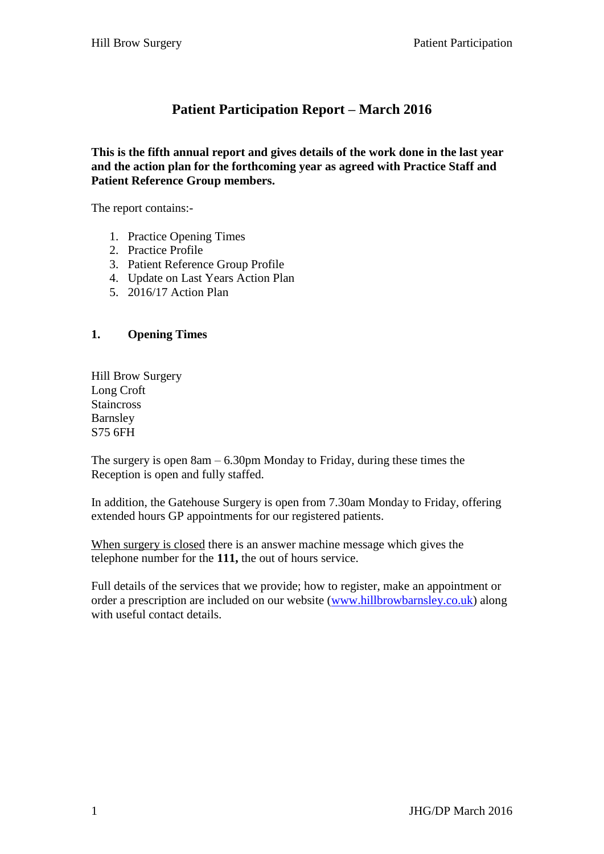# **Patient Participation Report – March 2016**

**This is the fifth annual report and gives details of the work done in the last year and the action plan for the forthcoming year as agreed with Practice Staff and Patient Reference Group members.**

The report contains:-

- 1. Practice Opening Times
- 2. Practice Profile
- 3. Patient Reference Group Profile
- 4. Update on Last Years Action Plan
- 5. 2016/17 Action Plan

#### **1. Opening Times**

Hill Brow Surgery Long Croft Staincross Barnsley S75 6FH

The surgery is open 8am – 6.30pm Monday to Friday, during these times the Reception is open and fully staffed.

In addition, the Gatehouse Surgery is open from 7.30am Monday to Friday, offering extended hours GP appointments for our registered patients.

When surgery is closed there is an answer machine message which gives the telephone number for the **111,** the out of hours service.

Full details of the services that we provide; how to register, make an appointment or order a prescription are included on our website [\(www.hillbrowbarnsley.co.uk\)](http://www.hillbrowbarnsley.co.uk/) along with useful contact details.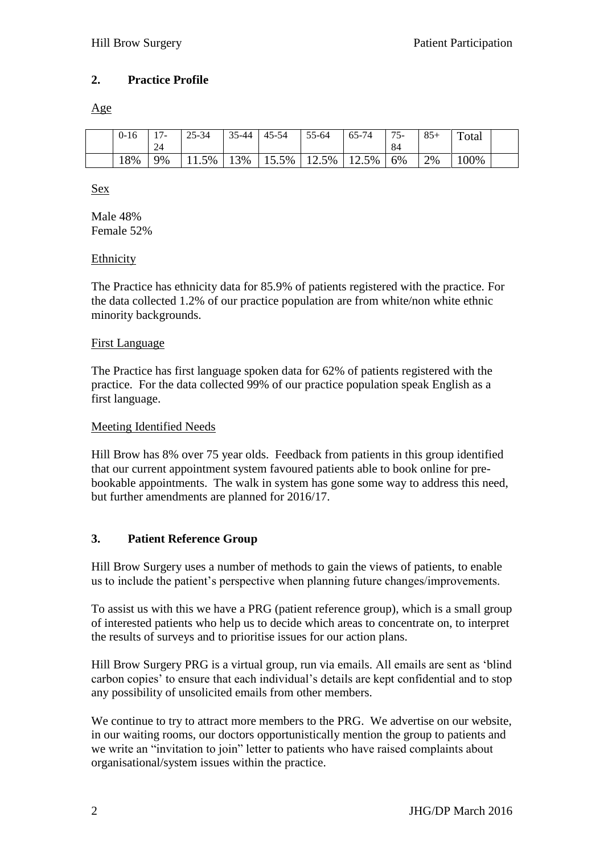### **2. Practice Profile**

Age

| $0 - 16$ | 1 <sub>7</sub><br>24 | $25 - 34$ | $35 - 44$ | $45 - 54$ | 55-64 | 65-74 | $75-$<br>84 | $85+$ | Total |  |
|----------|----------------------|-----------|-----------|-----------|-------|-------|-------------|-------|-------|--|
| 18%      | 9%                   | 5%        | 13%       | 15.5%     | 12.5% | 12.5% | 6%          | 2%    | 00%   |  |

Sex

Male 48% Female 52%

### **Ethnicity**

The Practice has ethnicity data for 85.9% of patients registered with the practice. For the data collected 1.2% of our practice population are from white/non white ethnic minority backgrounds.

#### First Language

The Practice has first language spoken data for 62% of patients registered with the practice. For the data collected 99% of our practice population speak English as a first language.

#### Meeting Identified Needs

Hill Brow has 8% over 75 year olds. Feedback from patients in this group identified that our current appointment system favoured patients able to book online for prebookable appointments. The walk in system has gone some way to address this need, but further amendments are planned for 2016/17.

### **3. Patient Reference Group**

Hill Brow Surgery uses a number of methods to gain the views of patients, to enable us to include the patient's perspective when planning future changes/improvements.

To assist us with this we have a PRG (patient reference group), which is a small group of interested patients who help us to decide which areas to concentrate on, to interpret the results of surveys and to prioritise issues for our action plans.

Hill Brow Surgery PRG is a virtual group, run via emails. All emails are sent as 'blind carbon copies' to ensure that each individual's details are kept confidential and to stop any possibility of unsolicited emails from other members.

We continue to try to attract more members to the PRG. We advertise on our website, in our waiting rooms, our doctors opportunistically mention the group to patients and we write an "invitation to join" letter to patients who have raised complaints about organisational/system issues within the practice.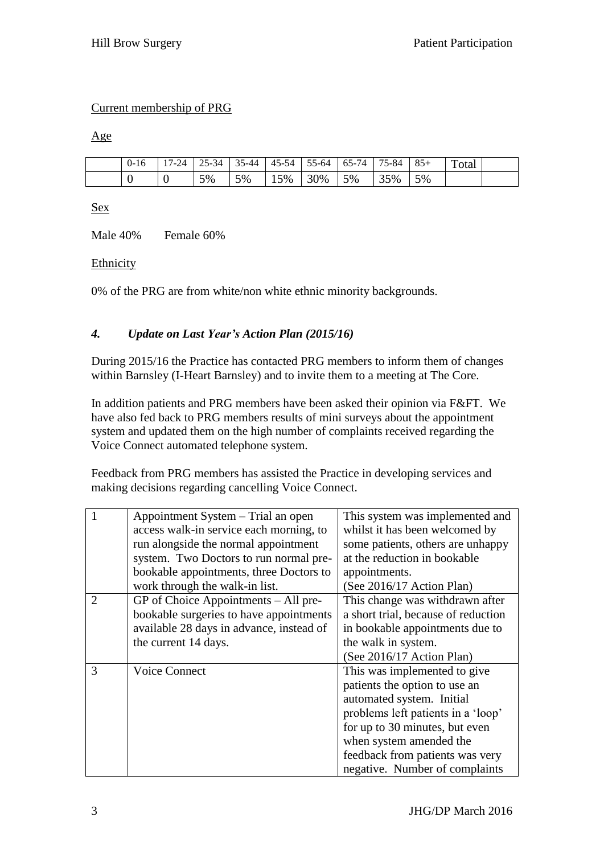### Current membership of PRG

Age

| $0 - 16$ | 17-24 | 25-34 | $35-44$ | $45-54$ | $55-64$ | 65-74 | 75-84 | $85+$ | Total |  |
|----------|-------|-------|---------|---------|---------|-------|-------|-------|-------|--|
|          |       | 5%    | 5%      | 15%     | 30%     | 5%    | 35%   | 5%    |       |  |

Sex

Male 40% Female 60%

#### Ethnicity

0% of the PRG are from white/non white ethnic minority backgrounds.

### *4. Update on Last Year's Action Plan (2015/16)*

During 2015/16 the Practice has contacted PRG members to inform them of changes within Barnsley (I-Heart Barnsley) and to invite them to a meeting at The Core.

In addition patients and PRG members have been asked their opinion via F&FT. We have also fed back to PRG members results of mini surveys about the appointment system and updated them on the high number of complaints received regarding the Voice Connect automated telephone system.

Feedback from PRG members has assisted the Practice in developing services and making decisions regarding cancelling Voice Connect.

|                | Appointment System – Trial an open       | This system was implemented and     |
|----------------|------------------------------------------|-------------------------------------|
|                | access walk-in service each morning, to  | whilst it has been welcomed by      |
|                | run alongside the normal appointment     | some patients, others are unhappy   |
|                | system. Two Doctors to run normal pre-   | at the reduction in bookable        |
|                | bookable appointments, three Doctors to  | appointments.                       |
|                | work through the walk-in list.           | (See 2016/17 Action Plan)           |
| $\overline{2}$ | $GP$ of Choice Appointments $-$ All pre- | This change was withdrawn after     |
|                | bookable surgeries to have appointments  | a short trial, because of reduction |
|                | available 28 days in advance, instead of | in bookable appointments due to     |
|                | the current 14 days.                     | the walk in system.                 |
|                |                                          | (See 2016/17 Action Plan)           |
| 3              | <b>Voice Connect</b>                     | This was implemented to give        |
|                |                                          | patients the option to use an       |
|                |                                          | automated system. Initial           |
|                |                                          | problems left patients in a 'loop'  |
|                |                                          | for up to 30 minutes, but even      |
|                |                                          | when system amended the             |
|                |                                          | feedback from patients was very     |
|                |                                          | negative. Number of complaints      |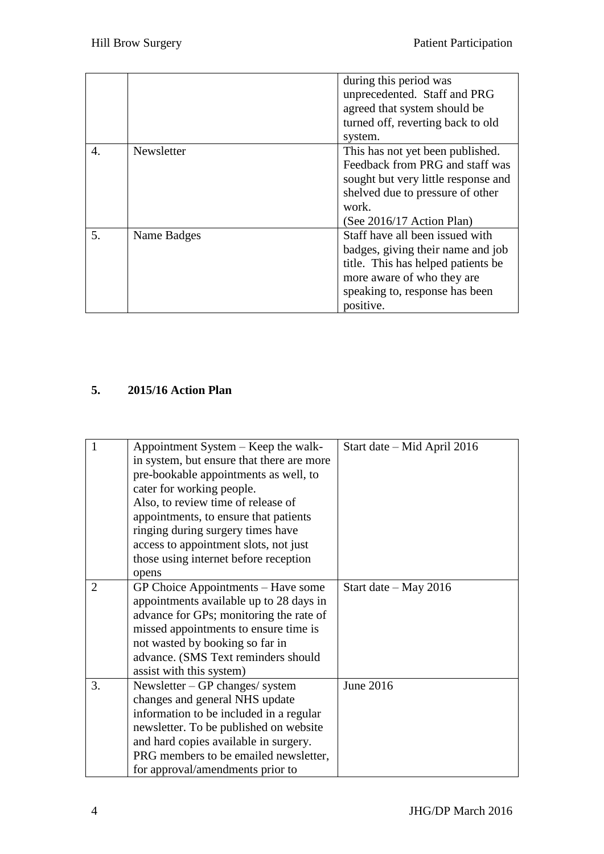|    |             | during this period was<br>unprecedented. Staff and PRG<br>agreed that system should be<br>turned off, reverting back to old<br>system.                                                   |
|----|-------------|------------------------------------------------------------------------------------------------------------------------------------------------------------------------------------------|
| 4. | Newsletter  | This has not yet been published.<br>Feedback from PRG and staff was<br>sought but very little response and<br>shelved due to pressure of other<br>work.<br>(See 2016/17 Action Plan)     |
| 5. | Name Badges | Staff have all been issued with<br>badges, giving their name and job<br>title. This has helped patients be.<br>more aware of who they are<br>speaking to, response has been<br>positive. |

## **5. 2015/16 Action Plan**

| 1              | Appointment System – Keep the walk-       | Start date – Mid April 2016 |
|----------------|-------------------------------------------|-----------------------------|
|                | in system, but ensure that there are more |                             |
|                | pre-bookable appointments as well, to     |                             |
|                | cater for working people.                 |                             |
|                | Also, to review time of release of        |                             |
|                | appointments, to ensure that patients     |                             |
|                | ringing during surgery times have         |                             |
|                | access to appointment slots, not just     |                             |
|                | those using internet before reception     |                             |
|                | opens                                     |                             |
| $\overline{2}$ | GP Choice Appointments – Have some        | Start date $-$ May 2016     |
|                | appointments available up to 28 days in   |                             |
|                | advance for GPs; monitoring the rate of   |                             |
|                | missed appointments to ensure time is     |                             |
|                | not wasted by booking so far in           |                             |
|                | advance. (SMS Text reminders should       |                             |
|                | assist with this system)                  |                             |
| 3.             | Newsletter $-$ GP changes/ system         | June 2016                   |
|                | changes and general NHS update            |                             |
|                | information to be included in a regular   |                             |
|                | newsletter. To be published on website    |                             |
|                | and hard copies available in surgery.     |                             |
|                | PRG members to be emailed newsletter,     |                             |
|                | for approval/amendments prior to          |                             |